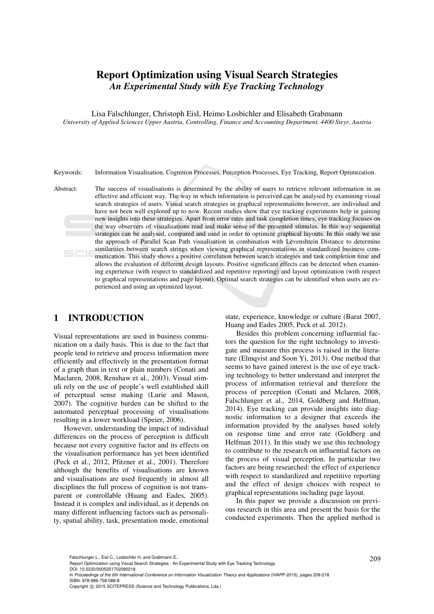# **Report Optimization using Visual Search Strategies**  *An Experimental Study with Eye Tracking Technology*

Lisa Falschlunger, Christoph Eisl, Heimo Losbichler and Elisabeth Grabmann *University of Applied Sciences Upper Austria, Controlling, Finance and Accounting Department, 4400 Steyr, Austria* 

Keywords: Information Visualisation, Cognition Processes, Perception Processes, Eye Tracking, Report Optimization.

Abstract: The success of visualisations is determined by the ability of users to retrieve relevant information in an effective and efficient way. The way in which information is perceived can be analysed by examining visual search strategies of users. Visual search strategies in graphical representations however, are individual and have not been well explored up to now. Recent studies show that eye tracking experiments help in gaining new insights into these strategies. Apart from error rates and task completion times, eye tracking focuses on the way observers of visualisations read and make sense of the presented stimulus. In this way sequential strategies can be analysed, compared and used in order to optimize graphical layouts. In this study we use the approach of Parallel Scan Path visualisation in combination with Levenshtein Distance to determine similarities between search strings when viewing graphical representations in standardized business communication. This study shows a positive correlation between search strategies and task completion time and allows the evaluation of different design layouts. Positive significant effects can be detected when examining experience (with respect to standardized and repetitive reporting) and layout optimization (with respect to graphical representations and page layout). Optimal search strategies can be identified when users are experienced and using an optimized layout.

## **1 INTRODUCTION**

Visual representations are used in business communication on a daily basis. This is due to the fact that people tend to retrieve and process information more efficiently and effectively in the presentation format of a graph than in text or plain numbers (Conati and Maclaren, 2008, Renshaw et al., 2003). Visual stimuli rely on the use of people's well established skill of perceptual sense making (Lurie and Mason, 2007). The cognitive burden can be shifted to the automated perceptual processing of visualisations resulting in a lower workload (Speier, 2006).

However, understanding the impact of individual differences on the process of perception is difficult because not every cognitive factor and its effects on the visualisation performance has yet been identified (Peck et al., 2012, Pfitzner et al., 2001). Therefore although the benefits of visualisations are known and visualisations are used frequently in almost all disciplines the full process of cognition is not transparent or controllable (Huang and Eades, 2005). Instead it is complex and individual, as it depends on many different influencing factors such as personality, spatial ability, task, presentation mode, emotional

state, experience, knowledge or culture (Barat 2007, Huang and Eades 2005, Peck et al. 2012).

Besides this problem concerning influential factors the question for the right technology to investigate and measure this process is raised in the literature (Elmqvist and Soon Yi, 2013). One method that seems to have gained interest is the use of eye tracking technology to better understand and interpret the process of information retrieval and therefore the process of perception (Conati and Mclaren, 2008, Falschlunger et al., 2014, Goldberg and Helfman, 2014). Eye tracking can provide insights into diagnostic information to a designer that exceeds the information provided by the analyses based solely on response time and error rate (Goldberg and Helfman 2011). In this study we use this technology to contribute to the research on influential factors on the process of visual perception. In particular two factors are being researched: the effect of experience with respect to standardized and repetitive reporting and the effect of design choices with respect to graphical representations including page layout.

In this paper we provide a discussion on previous research in this area and present the basis for the conducted experiments. Then the applied method is

DOI: 10.5220/0005251702090218

In *Proceedings of the 6th International Conference on Information Visualization Theory and Applications* (IVAPP-2015), pages 209-218 ISBN: 978-989-758-088-8

<sup>209</sup> Falschlunger L., Eisl C., Losbichler H. and Grabmann E.. Report Optimization using Visual Search Strategies - An Experimental Study with Eye Tracking Technology.

Copyright © 2015 SCITEPRESS (Science and Technology Publications, Lda.)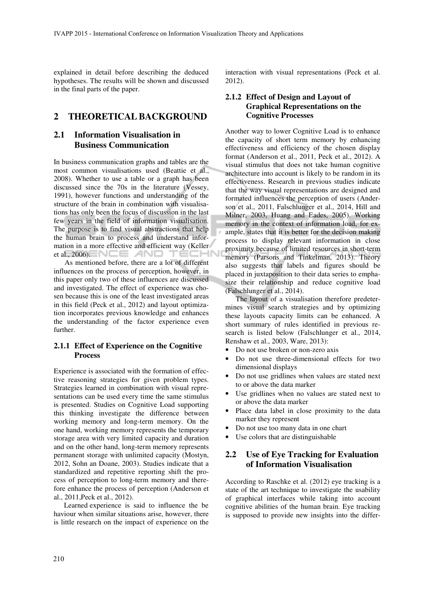explained in detail before describing the deduced hypotheses. The results will be shown and discussed in the final parts of the paper.

### **2 THEORETICAL BACKGROUND**

### **2.1 Information Visualisation in Business Communication**

In business communication graphs and tables are the most common visualisations used (Beattie et al., 2008). Whether to use a table or a graph has been discussed since the 70s in the literature (Vessey, 1991), however functions and understanding of the structure of the brain in combination with visualisations has only been the focus of discussion in the last few years in the field of information visualisation. The purpose is to find visual abstractions that help the human brain to process and understand information in a more effective and efficient way (Keller et al., 2006).  $\blacksquare \blacksquare \blacksquare \blacksquare$  AND TECHI

As mentioned before, there are a lot of different influences on the process of perception, however, in this paper only two of these influences are discussed and investigated. The effect of experience was chosen because this is one of the least investigated areas in this field (Peck et al., 2012) and layout optimization incorporates previous knowledge and enhances the understanding of the factor experience even further.

#### **2.1.1 Effect of Experience on the Cognitive Process**

Experience is associated with the formation of effective reasoning strategies for given problem types. Strategies learned in combination with visual representations can be used every time the same stimulus is presented. Studies on Cognitive Load supporting this thinking investigate the difference between working memory and long-term memory. On the one hand, working memory represents the temporary storage area with very limited capacity and duration and on the other hand, long-term memory represents permanent storage with unlimited capacity (Mostyn, 2012, Sohn an Doane, 2003). Studies indicate that a standardized and repetitive reporting shift the process of perception to long-term memory and therefore enhance the process of perception (Anderson et al., 2011,Peck et al., 2012).

Learned experience is said to influence the be haviour when similar situations arise, however, there is little research on the impact of experience on the interaction with visual representations (Peck et al. 2012).

### **2.1.2 Effect of Design and Layout of Graphical Representations on the Cognitive Processes**

Another way to lower Cognitive Load is to enhance the capacity of short term memory by enhancing effectiveness and efficiency of the chosen display format (Anderson et al., 2011, Peck et al., 2012). A visual stimulus that does not take human cognitive architecture into account is likely to be random in its effectiveness. Research in previous studies indicate that the way visual representations are designed and formated influences the perception of users (Anderson et al., 2011, Falschlunger et al., 2014, Hill and Milner, 2003, Huang and Eades, 2005). Working memory in the context of information load, for example, states that it is better for the decision making process to display relevant information in close proximity because of limited resources in short-term memory (Parsons and Tinkelman, 2013). Theory also suggests that labels and figures should be placed in juxtaposition to their data series to emphasize their relationship and reduce cognitive load (Falschlunger et al., 2014).

The layout of a visualisation therefore predetermines visual search strategies and by optimizing these layouts capacity limits can be enhanced. A short summary of rules identified in previous research is listed below (Falschlunger et al., 2014, Renshaw et al., 2003, Ware, 2013):

- Do not use broken or non-zero axis
- Do not use three-dimensional effects for two dimensional displays
- Do not use gridlines when values are stated next to or above the data marker
- Use gridlines when no values are stated next to or above the data marker
- Place data label in close proximity to the data marker they represent
- Do not use too many data in one chart
- Use colors that are distinguishable

## **2.2 Use of Eye Tracking for Evaluation of Information Visualisation**

According to Raschke et al. (2012) eye tracking is a state of the art technique to investigate the usability of graphical interfaces while taking into account cognitive abilities of the human brain. Eye tracking is supposed to provide new insights into the differ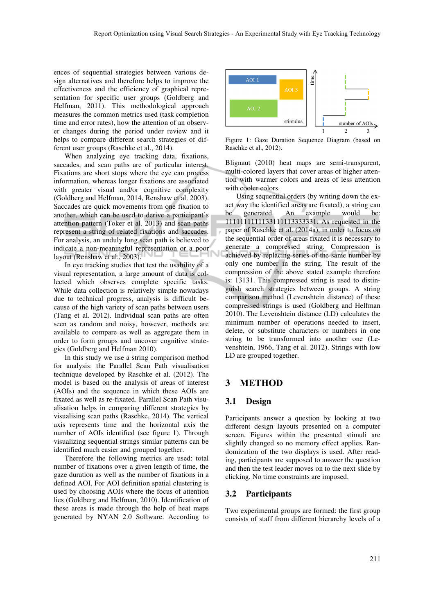ences of sequential strategies between various design alternatives and therefore helps to improve the effectiveness and the efficiency of graphical representation for specific user groups (Goldberg and Helfman, 2011). This methodological approach measures the common metrics used (task completion time and error rates), how the attention of an observer changes during the period under review and it helps to compare different search strategies of different user groups (Raschke et al., 2014).

When analyzing eye tracking data, fixations, saccades, and scan paths are of particular interest. Fixations are short stops where the eye can process information, whereas longer fixations are associated with greater visual and/or cognitive complexity (Goldberg and Helfman, 2014, Renshaw et al. 2003). Saccades are quick movements from one fixation to another, which can be used to derive a participant's attention pattern (Toker et al. 2013) and scan paths represent a string of related fixations and saccades. For analysis, an unduly long scan path is believed to indicate a non-meaningful representation or a poor layout (Renshaw et al., 2003).

In eye tracking studies that test the usability of a visual representation, a large amount of data is collected which observes complete specific tasks. While data collection is relatively simple nowadays due to technical progress, analysis is difficult because of the high variety of scan paths between users (Tang et al. 2012). Individual scan paths are often seen as random and noisy, however, methods are available to compare as well as aggregate them in order to form groups and uncover cognitive strategies (Goldberg and Helfman 2010).

In this study we use a string comparison method for analysis: the Parallel Scan Path visualisation technique developed by Raschke et al. (2012). The model is based on the analysis of areas of interest (AOIs) and the sequence in which these AOIs are fixated as well as re-fixated. Parallel Scan Path visualisation helps in comparing different strategies by visualising scan paths (Raschke, 2014). The vertical axis represents time and the horizontal axis the number of AOIs identified (see figure 1). Through visualizing sequential strings similar patterns can be identified much easier and grouped together.

Therefore the following metrics are used: total number of fixations over a given length of time, the gaze duration as well as the number of fixations in a defined AOI. For AOI definition spatial clustering is used by choosing AOIs where the focus of attention lies (Goldberg and Helfman, 2010). Identification of these areas is made through the help of heat maps generated by NYAN 2.0 Software. According to



Figure 1: Gaze Duration Sequence Diagram (based on Raschke et al., 2012).

Blignaut (2010) heat maps are semi-transparent, multi-colored layers that cover areas of higher attention with warmer colors and areas of less attention with cooler colors.

Using sequential orders (by writing down the exact way the identified areas are fixated), a string can<br>be generated. An example would be: be generated. An example would be: 1111111111133111113333331. As requested in the paper of Raschke et al. (2014a), in order to focus on the sequential order of areas fixated it is necessary to generate a compressed string. Compression is achieved by replacing series of the same number by only one number in the string. The result of the compression of the above stated example therefore is: 13131. This compressed string is used to distinguish search strategies between groups. A string comparison method (Levenshtein distance) of these compressed strings is used (Goldberg and Helfman 2010). The Levenshtein distance (LD) calculates the minimum number of operations needed to insert, delete, or substitute characters or numbers in one string to be transformed into another one (Levenshtein, 1966, Tang et al. 2012). Strings with low LD are grouped together.

### **3 METHOD**

#### **3.1 Design**

Participants answer a question by looking at two different design layouts presented on a computer screen. Figures within the presented stimuli are slightly changed so no memory effect applies. Randomization of the two displays is used. After reading, participants are supposed to answer the question and then the test leader moves on to the next slide by clicking. No time constraints are imposed.

#### **3.2 Participants**

Two experimental groups are formed: the first group consists of staff from different hierarchy levels of a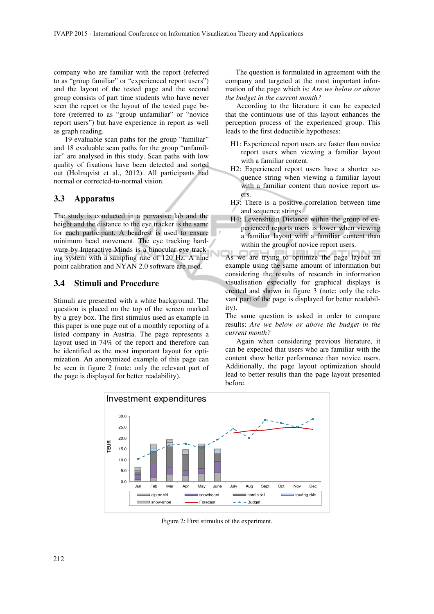company who are familiar with the report (referred to as "group familiar" or "experienced report users") and the layout of the tested page and the second group consists of part time students who have never seen the report or the layout of the tested page before (referred to as "group unfamiliar" or "novice report users") but have experience in report as well as graph reading.

19 evaluable scan paths for the group "familiar" and 18 evaluable scan paths for the group "unfamiliar" are analysed in this study. Scan paths with low quality of fixations have been detected and sorted out (Holmqvist et al., 2012). All participants had normal or corrected-to-normal vision.

#### **3.3 Apparatus**

The study is conducted in a pervasive lab and the height and the distance to the eye tracker is the same for each participant. A headrest is used to ensure minimum head movement. The eye tracking hardware by Interactive Minds is a binocular eye tracking system with a sampling rate of 120 Hz. A nine point calibration and NYAN 2.0 software are used.

### **3.4 Stimuli and Procedure**

Stimuli are presented with a white background. The question is placed on the top of the screen marked by a grey box. The first stimulus used as example in this paper is one page out of a monthly reporting of a listed company in Austria. The page represents a layout used in 74% of the report and therefore can be identified as the most important layout for optimization. An anonymized example of this page can be seen in figure 2 (note: only the relevant part of the page is displayed for better readability).

The question is formulated in agreement with the company and targeted at the most important information of the page which is: *Are we below or above the budget in the current month?* 

According to the literature it can be expected that the continuous use of this layout enhances the perception process of the experienced group. This leads to the first deductible hypotheses:

- H1: Experienced report users are faster than novice report users when viewing a familiar layout with a familiar content.
- H2: Experienced report users have a shorter sequence string when viewing a familiar layout with a familiar content than novice report users.
- H3: There is a positive correlation between time and sequence strings.
- H4: Levenshtein Distance within the group of experienced reports users is lower when viewing a familiar layout with a familiar content than within the group of novice report users.

As we are trying to optimize the page layout an example using the same amount of information but considering the results of research in information visualisation especially for graphical displays is created and shown in figure 3 (note: only the relevant part of the page is displayed for better readability).

The same question is asked in order to compare results: *Are we below or above the budget in the current month?* 

Again when considering previous literature, it can be expected that users who are familiar with the content show better performance than novice users. Additionally, the page layout optimization should lead to better results than the page layout presented before.



Figure 2: First stimulus of the experiment.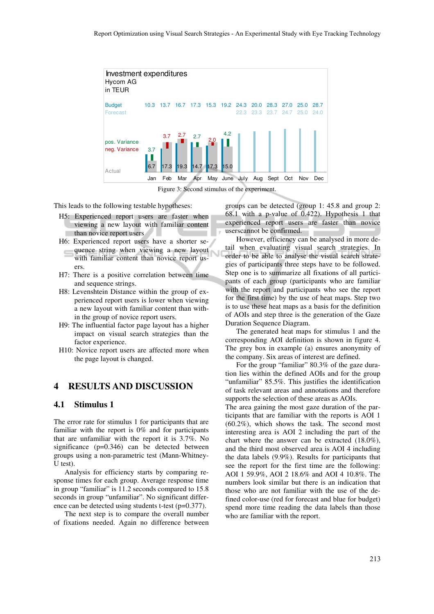

Figure 3: Second stimulus of the experiment.

This leads to the following testable hypotheses:

- H5: Experienced report users are faster when viewing a new layout with familiar content than novice report users
- H6: Experienced report users have a shorter sequence string when viewing a new layout with familiar content than novice report users.
- H7: There is a positive correlation between time and sequence strings.
- H8: Levenshtein Distance within the group of experienced report users is lower when viewing a new layout with familiar content than within the group of novice report users.
- H9: The influential factor page layout has a higher impact on visual search strategies than the factor experience.
- H10: Novice report users are affected more when the page layout is changed.

### **4 RESULTS AND DISCUSSION**

#### **4.1 Stimulus 1**

The error rate for stimulus 1 for participants that are familiar with the report is 0% and for participants that are unfamiliar with the report it is 3.7%. No significance (p=0.346) can be detected between groups using a non-parametric test (Mann-Whitney-U test).

Analysis for efficiency starts by comparing response times for each group. Average response time in group "familiar" is 11.2 seconds compared to 15.8 seconds in group "unfamiliar". No significant difference can be detected using students t-test (p=0.377).

The next step is to compare the overall number of fixations needed. Again no difference between groups can be detected (group 1: 45.8 and group 2: 68.1 with a p-value of 0.422). Hypothesis 1 that experienced report users are faster than novice userscannot be confirmed.

However, efficiency can be analysed in more detail when evaluating visual search strategies. In order to be able to analyse the visual search strategies of participants three steps have to be followed. Step one is to summarize all fixations of all participants of each group (participants who are familiar with the report and participants who see the report for the first time) by the use of heat maps. Step two is to use these heat maps as a basis for the definition of AOIs and step three is the generation of the Gaze Duration Sequence Diagram.

The generated heat maps for stimulus 1 and the corresponding AOI definition is shown in figure 4. The grey box in example (a) ensures anonymity of the company. Six areas of interest are defined.

For the group "familiar" 80.3% of the gaze duration lies within the defined AOIs and for the group "unfamiliar" 85.5%. This justifies the identification of task relevant areas and annotations and therefore supports the selection of these areas as AOIs.

The area gaining the most gaze duration of the participants that are familiar with the reports is AOI 1 (60.2%), which shows the task. The second most interesting area is AOI 2 including the part of the chart where the answer can be extracted (18.0%), and the third most observed area is AOI 4 including the data labels (9.9%). Results for participants that see the report for the first time are the following: AOI 1 59.9%, AOI 2 18.6% and AOI 4 10.8%. The numbers look similar but there is an indication that those who are not familiar with the use of the defined color-use (red for forecast and blue for budget) spend more time reading the data labels than those who are familiar with the report.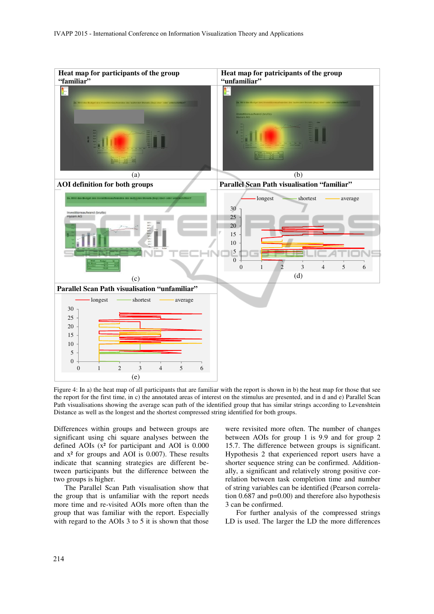

Figure 4: In a) the heat map of all participants that are familiar with the report is shown in b) the heat map for those that see the report for the first time, in c) the annotated areas of interest on the stimulus are presented, and in d and e) Parallel Scan Path visualisations showing the average scan path of the identified group that has similar strings according to Levenshtein Distance as well as the longest and the shortest compressed string identified for both groups.

Differences within groups and between groups are significant using chi square analyses between the defined AOIs  $(x^2)$  for participant and AOI is 0.000 and  $x^2$  for groups and AOI is 0.007). These results indicate that scanning strategies are different between participants but the difference between the two groups is higher.

The Parallel Scan Path visualisation show that the group that is unfamiliar with the report needs more time and re-visited AOIs more often than the group that was familiar with the report. Especially with regard to the AOIs 3 to 5 it is shown that those

were revisited more often. The number of changes between AOIs for group 1 is 9.9 and for group 2 15.7. The difference between groups is significant. Hypothesis 2 that experienced report users have a shorter sequence string can be confirmed. Additionally, a significant and relatively strong positive correlation between task completion time and number of string variables can be identified (Pearson correlation  $0.687$  and  $p=0.00$ ) and therefore also hypothesis 3 can be confirmed.

For further analysis of the compressed strings LD is used. The larger the LD the more differences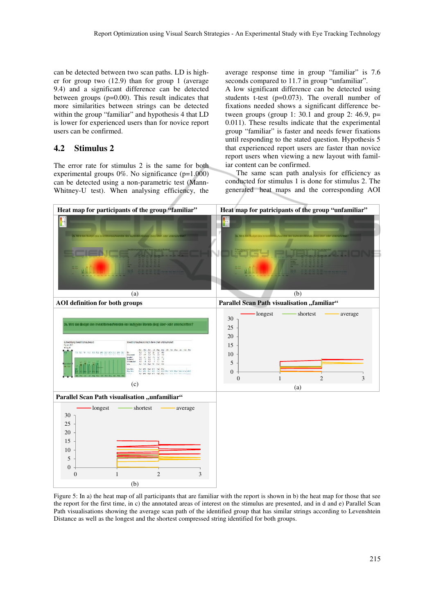can be detected between two scan paths. LD is higher for group two (12.9) than for group 1 (average 9.4) and a significant difference can be detected between groups (p=0.00). This result indicates that more similarities between strings can be detected within the group "familiar" and hypothesis 4 that LD is lower for experienced users than for novice report users can be confirmed.

### **4.2 Stimulus 2**

The error rate for stimulus 2 is the same for both experimental groups  $0\%$ . No significance (p=1.000) can be detected using a non-parametric test (Mann-Whitney-U test). When analysing efficiency, the average response time in group "familiar" is 7.6 seconds compared to 11.7 in group "unfamiliar".

A low significant difference can be detected using students t-test  $(p=0.073)$ . The overall number of fixations needed shows a significant difference between groups (group 1: 30.1 and group 2: 46.9,  $p=$ 0.011). These results indicate that the experimental group "familiar" is faster and needs fewer fixations until responding to the stated question. Hypothesis 5 that experienced report users are faster than novice report users when viewing a new layout with familiar content can be confirmed.

The same scan path analysis for efficiency as conducted for stimulus 1 is done for stimulus 2. The generated heat maps and the corresponding AOI



Figure 5: In a) the heat map of all participants that are familiar with the report is shown in b) the heat map for those that see the report for the first time, in c) the annotated areas of interest on the stimulus are presented, and in d and e) Parallel Scan Path visualisations showing the average scan path of the identified group that has similar strings according to Levenshtein Distance as well as the longest and the shortest compressed string identified for both groups.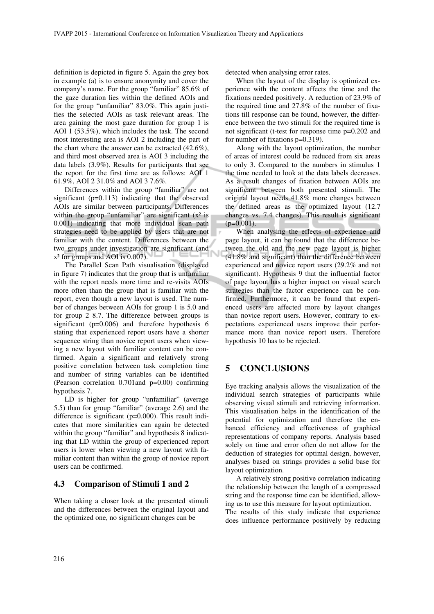definition is depicted in figure 5. Again the grey box in example (a) is to ensure anonymity and cover the company's name. For the group "familiar" 85.6% of the gaze duration lies within the defined AOIs and for the group "unfamiliar" 83.0%. This again justifies the selected AOIs as task relevant areas. The area gaining the most gaze duration for group 1 is AOI 1 (53.5%), which includes the task. The second most interesting area is AOI 2 including the part of the chart where the answer can be extracted (42.6%), and third most observed area is AOI 3 including the data labels (3.9%). Results for participants that see the report for the first time are as follows: AOI 1 61.9%, AOI 2 31.0% and AOI 3 7.6%.

Differences within the group "familiar" are not significant (p=0.113) indicating that the observed AOIs are similar between participants. Differences within the group "unfamiliar" are significant  $(x^2)$  is 0.001) indicating that more individual scan path strategies need to be applied by users that are not familiar with the content. Differences between the two groups under investigation are significant (and x² for groups and AOI is 0.007).

The Parallel Scan Path visualisation (displayed in figure 7) indicates that the group that is unfamiliar with the report needs more time and re-visits AOIs more often than the group that is familiar with the report, even though a new layout is used. The number of changes between AOIs for group 1 is 5.0 and for group 2 8.7. The difference between groups is significant (p=0.006) and therefore hypothesis 6 stating that experienced report users have a shorter sequence string than novice report users when viewing a new layout with familiar content can be confirmed. Again a significant and relatively strong positive correlation between task completion time and number of string variables can be identified (Pearson correlation 0.701and p=0.00) confirming hypothesis 7.

LD is higher for group "unfamiliar" (average 5.5) than for group "familiar" (average 2.6) and the difference is significant (p=0.000). This result indicates that more similarities can again be detected within the group "familiar" and hypothesis 8 indicating that LD within the group of experienced report users is lower when viewing a new layout with familiar content than within the group of novice report users can be confirmed.

### **4.3 Comparison of Stimuli 1 and 2**

When taking a closer look at the presented stimuli and the differences between the original layout and the optimized one, no significant changes can be

detected when analysing error rates.

When the layout of the display is optimized experience with the content affects the time and the fixations needed positively. A reduction of 23.9% of the required time and 27.8% of the number of fixations till response can be found, however, the difference between the two stimuli for the required time is not significant (t-test for response time p=0.202 and for number of fixations p=0.319).

Along with the layout optimization, the number of areas of interest could be reduced from six areas to only 3. Compared to the numbers in stimulus 1 the time needed to look at the data labels decreases. As a result changes of fixation between AOIs are significant between both presented stimuli. The original layout needs 41.8% more changes between the defined areas as the optimized layout (12.7 changes vs. 7.4 changes). This result is significant  $(p=0.001)$ .

When analysing the effects of experience and page layout, it can be found that the difference between the old and the new page layout is higher (41.8% and significant) than the difference between experienced and novice report users (29.2% and not significant). Hypothesis 9 that the influential factor of page layout has a higher impact on visual search strategies than the factor experience can be confirmed. Furthermore, it can be found that experienced users are affected more by layout changes than novice report users. However, contrary to expectations experienced users improve their performance more than novice report users. Therefore hypothesis 10 has to be rejected.

## **5 CONCLUSIONS**

Eye tracking analysis allows the visualization of the individual search strategies of participants while observing visual stimuli and retrieving information. This visualisation helps in the identification of the potential for optimization and therefore the enhanced efficiency and effectiveness of graphical representations of company reports. Analysis based solely on time and error often do not allow for the deduction of strategies for optimal design, however, analyses based on strings provides a solid base for layout optimization.

A relatively strong positive correlation indicating the relationship between the length of a compressed string and the response time can be identified, allowing us to use this measure for layout optimization. The results of this study indicate that experience does influence performance positively by reducing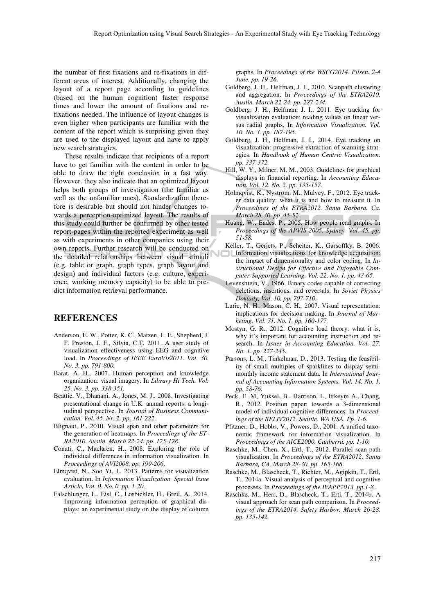the number of first fixations and re-fixations in different areas of interest. Additionally, changing the layout of a report page according to guidelines (based on the human cognition) faster response times and lower the amount of fixations and refixations needed. The influence of layout changes is even higher when participants are familiar with the content of the report which is surprising given they are used to the displayed layout and have to apply new search strategies.

These results indicate that recipients of a report have to get familiar with the content in order to be able to draw the right conclusion in a fast way. However. they also indicate that an optimized layout helps both groups of investigation (the familiar as well as the unfamiliar ones). Standardization therefore is desirable but should not hinder changes towards a perception-optimized layout. The results of this study could further be confirmed by other tested report-pages within the reported experiment as well as with experiments in other companies using their own reports. Further research will be conducted on the detailed relationships between visual stimuli (e.g. table or graph, graph types, graph layout and design) and individual factors (e.g. culture, experience, working memory capacity) to be able to predict information retrieval performance.

### **REFERENCES**

- Anderson, E. W., Potter, K. C., Matzen, L. E., Shepherd, J. F. Preston, J. F., Silvia, C.T, 2011. A user study of visualization effectiveness using EEG and cognitive load. In *Proceedings of IEEE EuroVis2011. Vol. 30. No. 3. pp. 791-800.*
- Barat, A. H., 2007. Human perception and knowledge organization: visual imagery. In *Library Hi Tech. Vol. 25. No. 3. pp. 338-351.*
- Beattie, V., Dhanani, A., Jones, M. J., 2008. Investigating presentational change in U.K. annual reports: a longitudinal perspective. In *Journal of Business Communication. Vol. 45. Nr. 2. pp. 181-222.*
- Blignaut, P., 2010. Visual span and other parameters for the generation of heatmaps. In *Proceedings of the ET-RA2010. Austin. March 22-24. pp. 125-128.*
- Conati, C., Maclaren, H., 2008. Exploring the role of individual differences in information visualization. In *Proceedings of AVI2008. pp. 199-206.*
- Elmqvist, N., Soo Yi, J., 2013. Patterns for visualization evaluation. In *Information Visualization. Special Issue Article. Vol. 0. No. 0. pp. 1-20.*
- Falschlunger, L., Eisl. C., Losbichler, H., Greil, A., 2014. Improving information perception of graphical displays: an experimental study on the display of column

graphs. In *Proceedings of the WSCG2014. Pilsen. 2-4 June. pp. 19-26.*

- Goldberg, J. H., Helfman, J. I., 2010. Scanpath clustering and aggregation. In *Proceedings of the ETRA2010. Austin. March 22-24. pp. 227-234.*
- Goldberg, J. H., Helfman, J. I., 2011. Eye tracking for visualization evaluation: reading values on linear versus radial graphs. In *Information Visualization. Vol. 10. No. 3. pp. 182-195.*
- Goldberg, J. H., Helfman, J. I., 2014. Eye tracking on visualization: progressive extraction of scanning strategies. In *Handbook of Human Centric Visualization. pp. 337-372.*
- Hill, W. Y., Milner, M. M., 2003. Guidelines for graphical displays in financial reporting. In *Accounting Education. Vol. 12. No. 2. pp. 135-157.*
- Holmqvist, K., Nyström, M., Mulvey, F., 2012. Eye tracker data quality: what it is and how to measure it. In *Proceedings of the ETRA2012. Santa Barbara. Ca. March 28-30. pp. 45-52.*
- Huang, W., Eades, P., 2005. How people read graphs. In *Proceedings of the APVIS 2005. Sydney. Vol. 45. pp. 51-58.*
- Keller, T., Gerjets, P., Scheiter, K., Garsoffky, B. 2006. Information visualizations for knowledge acquisition: the impact of dimensionality and color coding, In *Instructional Design for Effective and Enjoyable Computer-Supported Learning. Vol. 22. No. 1. pp. 43-65.*
- Levenshtein, V., 1966, Binary codes capable of correcting deletions, insertions, and reversals, In *Soviet Physics Doklady, Vol. 10, pp. 707-710.*
- Lurie, N. H., Mason, C. H., 2007. Visual representation: implications for decision making. In *Journal of Marketing. Vol. 71. No. 1. pp. 160-177.*
- Mostyn, G. R., 2012. Cognitive load theory: what it is, why it's important for accounting instruction and research. In *Issues in Accounting Education. Vol. 27. No. 1. pp. 227-245.*
- Parsons, L. M., Tinkelman, D., 2013. Testing the feasibility of small multiples of sparklines to display semimonthly income statement data. In *International Journal of Accounting Information Systems. Vol. 14. No. 1. pp. 58-76.*
- Peck, E. M, Yuksel, B., Harrison, L, Ittkeym A., Chang, R., 2012. Position paper: towards a 3-dimensional model of individual cognitive differences. In *Proceedings of the BELIV2012. Seattle. WA USA. Pp. 1-6.*
- Pfitzner, D., Hobbs, V., Powers, D., 2001. A unified taxonomic framework for information visualization. In *Proceedings of the AICE2000. Canberra. pp. 1-10.*
- Raschke, M., Chen, X., Ertl, T., 2012. Parallel scan-path visualization. In *Proceedings of the ETRA2012, Santa Barbara, CA, March 28-30, pp. 165-168*.
- Raschke, M., Blascheck, T., Richter, M., Agipkin, T., Ertl, T., 2014a. Visual analysis of perceptual and cognitive processes. In *Proceedings of the IVAPP2013. pp.1-8.*
- Raschke, M., Herr, D., Blascheck, T., Ertl, T., 2014b. A visual approach for scan path comparison. In *Proceedings of the ETRA2014. Safety Harbor. March 26-28. pp. 135-142.*